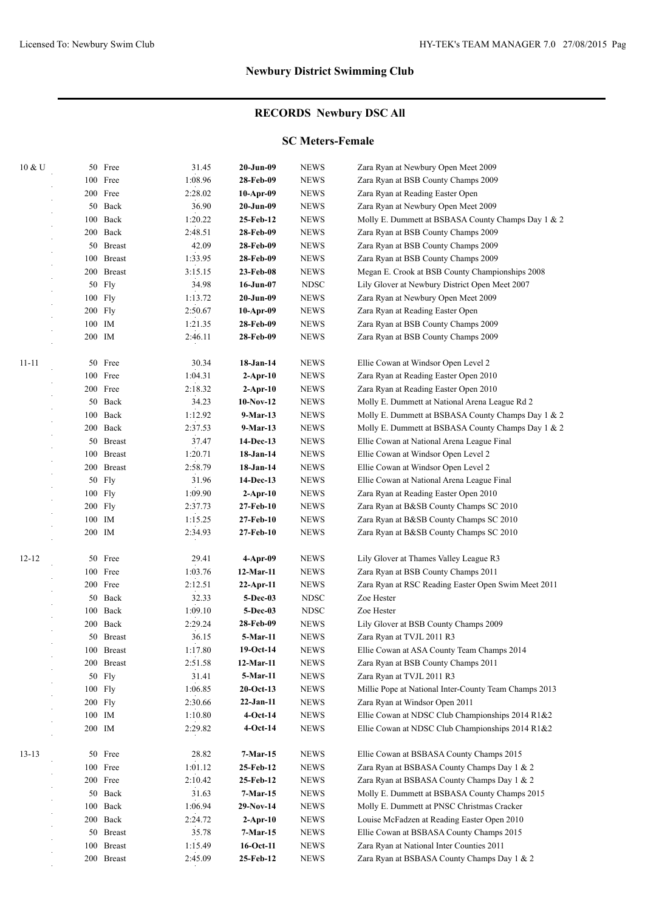### **RECORDS Newbury DSC All**

### **SC Meters-Female**

| 10 & U    |        | 50 Free       | 31.45   | 20-Jun-09    | <b>NEWS</b>  | Zara Ryan at Newbury Open Meet 2009                   |
|-----------|--------|---------------|---------|--------------|--------------|-------------------------------------------------------|
|           |        | 100 Free      | 1:08.96 | 28-Feb-09    | <b>NEWS</b>  | Zara Ryan at BSB County Champs 2009                   |
|           |        | 200 Free      | 2:28.02 | 10-Apr-09    | <b>NEWS</b>  | Zara Ryan at Reading Easter Open                      |
|           |        | 50 Back       | 36.90   | 20-Jun-09    | <b>NEWS</b>  | Zara Ryan at Newbury Open Meet 2009                   |
|           |        | 100 Back      | 1:20.22 | 25-Feb-12    | <b>NEWS</b>  | Molly E. Dummett at BSBASA County Champs Day 1 & 2    |
|           |        | 200 Back      | 2:48.51 | 28-Feb-09    | <b>NEWS</b>  | Zara Ryan at BSB County Champs 2009                   |
|           |        | 50 Breast     | 42.09   | 28-Feb-09    | <b>NEWS</b>  | Zara Ryan at BSB County Champs 2009                   |
|           |        | 100 Breast    | 1:33.95 | 28-Feb-09    | <b>NEWS</b>  | Zara Ryan at BSB County Champs 2009                   |
|           |        | 200 Breast    | 3:15.15 | 23-Feb-08    | <b>NEWS</b>  | Megan E. Crook at BSB County Championships 2008       |
|           |        | 50 Fly        | 34.98   | 16-Jun-07    | <b>NDSC</b>  | Lily Glover at Newbury District Open Meet 2007        |
|           |        | 100 Fly       | 1:13.72 | 20-Jun-09    | <b>NEWS</b>  | Zara Ryan at Newbury Open Meet 2009                   |
|           |        | 200 Fly       | 2:50.67 | 10-Apr-09    | <b>NEWS</b>  | Zara Ryan at Reading Easter Open                      |
|           |        | 100 IM        | 1:21.35 | 28-Feb-09    | <b>NEWS</b>  | Zara Ryan at BSB County Champs 2009                   |
|           | 200 IM |               | 2:46.11 | 28-Feb-09    | NEWS         | Zara Ryan at BSB County Champs 2009                   |
| $11 - 11$ |        | 50 Free       | 30.34   | 18-Jan-14    | <b>NEWS</b>  | Ellie Cowan at Windsor Open Level 2                   |
|           |        | 100 Free      | 1:04.31 | $2$ -Apr-10  | <b>NEWS</b>  | Zara Ryan at Reading Easter Open 2010                 |
|           |        | 200 Free      | 2:18.32 | $2-Apr-10$   | <b>NEWS</b>  | Zara Ryan at Reading Easter Open 2010                 |
|           |        | 50 Back       | 34.23   | $10-Nov-12$  | <b>NEWS</b>  | Molly E. Dummett at National Arena League Rd 2        |
|           |        | 100 Back      | 1:12.92 | 9-Mar-13     | <b>NEWS</b>  | Molly E. Dummett at BSBASA County Champs Day 1 & 2    |
|           |        | 200 Back      | 2:37.53 | 9-Mar-13     | <b>NEWS</b>  | Molly E. Dummett at BSBASA County Champs Day 1 & 2    |
|           |        | 50 Breast     | 37.47   | 14-Dec-13    | <b>NEWS</b>  | Ellie Cowan at National Arena League Final            |
|           |        | 100 Breast    | 1:20.71 | 18-Jan-14    | <b>NEWS</b>  | Ellie Cowan at Windsor Open Level 2                   |
|           |        | 200 Breast    | 2:58.79 | 18-Jan-14    | <b>NEWS</b>  | Ellie Cowan at Windsor Open Level 2                   |
|           |        | 50 Fly        | 31.96   | 14-Dec-13    | <b>NEWS</b>  | Ellie Cowan at National Arena League Final            |
|           |        | $100$ Fly     | 1:09.90 | $2$ -Apr-10  | <b>NEWS</b>  | Zara Ryan at Reading Easter Open 2010                 |
|           |        | 200 Fly       | 2:37.73 | 27-Feb-10    | <b>NEWS</b>  | Zara Ryan at B&SB County Champs SC 2010               |
|           | 100 IM |               | 1:15.25 | 27-Feb-10    | <b>NEWS</b>  | Zara Ryan at B&SB County Champs SC 2010               |
|           | 200 IM |               | 2:34.93 | 27-Feb-10    | <b>NEWS</b>  | Zara Ryan at B&SB County Champs SC 2010               |
| $12 - 12$ |        | 50 Free       | 29.41   | 4-Apr-09     | <b>NEWS</b>  | Lily Glover at Thames Valley League R3                |
|           |        | 100 Free      | 1:03.76 | 12-Mar-11    | <b>NEWS</b>  | Zara Ryan at BSB County Champs 2011                   |
|           |        | 200 Free      | 2:12.51 | $22$ -Apr-11 | <b>NEWS</b>  | Zara Ryan at RSC Reading Easter Open Swim Meet 2011   |
|           |        | 50 Back       | 32.33   | 5-Dec-03     | <b>NDSC</b>  | Zoe Hester                                            |
|           |        | 100 Back      | 1:09.10 | 5-Dec-03     | <b>NDSC</b>  | Zoe Hester                                            |
|           |        | 200 Back      | 2:29.24 | 28-Feb-09    | <b>NEWS</b>  | Lily Glover at BSB County Champs 2009                 |
|           |        | 50 Breast     | 36.15   | 5-Mar-11     | <b>NEWS</b>  | Zara Ryan at TVJL 2011 R3                             |
|           |        | 100 Breast    | 1:17.80 | 19-Oct-14    | ${\rm NEWS}$ | Ellie Cowan at ASA County Team Champs 2014            |
|           |        | 200 Breast    | 2:51.58 | $12-Mar-11$  | <b>NEWS</b>  | Zara Ryan at BSB County Champs 2011                   |
|           |        | 50 Fly        | 31.41   | 5-Mar-11     | <b>NEWS</b>  | Zara Ryan at TVJL 2011 R3                             |
|           |        | 100 Fly       | 1:06.85 | $20$ -Oct-13 | <b>NEWS</b>  | Millie Pope at National Inter-County Team Champs 2013 |
|           |        | $200$ Fly     | 2:30.66 | 22-Jan-11    | <b>NEWS</b>  | Zara Ryan at Windsor Open 2011                        |
|           |        | 100 IM        | 1:10.80 | $4-Oct-14$   | <b>NEWS</b>  | Ellie Cowan at NDSC Club Championships 2014 R1&2      |
|           | 200 IM |               | 2:29.82 | $4-Oct-14$   | <b>NEWS</b>  | Ellie Cowan at NDSC Club Championships 2014 R1&2      |
| $13 - 13$ |        | 50 Free       | 28.82   | 7-Mar-15     | <b>NEWS</b>  | Ellie Cowan at BSBASA County Champs 2015              |
|           |        | 100 Free      | 1:01.12 | 25-Feb-12    | <b>NEWS</b>  | Zara Ryan at BSBASA County Champs Day 1 & 2           |
|           |        | 200 Free      | 2:10.42 | 25-Feb-12    | <b>NEWS</b>  | Zara Ryan at BSBASA County Champs Day 1 & 2           |
|           | 50     | Back          | 31.63   | 7-Mar-15     | <b>NEWS</b>  | Molly E. Dummett at BSBASA County Champs 2015         |
|           | 100    | Back          | 1:06.94 | 29-Nov-14    | <b>NEWS</b>  | Molly E. Dummett at PNSC Christmas Cracker            |
|           |        | 200 Back      | 2:24.72 | 2-Apr-10     | <b>NEWS</b>  | Louise McFadzen at Reading Easter Open 2010           |
|           |        | 50 Breast     | 35.78   | $7-Mar-15$   | <b>NEWS</b>  | Ellie Cowan at BSBASA County Champs 2015              |
|           | 100    | <b>Breast</b> | 1:15.49 | 16-Oct-11    | <b>NEWS</b>  | Zara Ryan at National Inter Counties 2011             |
|           |        | 200 Breast    | 2:45.09 | 25-Feb-12    | <b>NEWS</b>  | Zara Ryan at BSBASA County Champs Day 1 & 2           |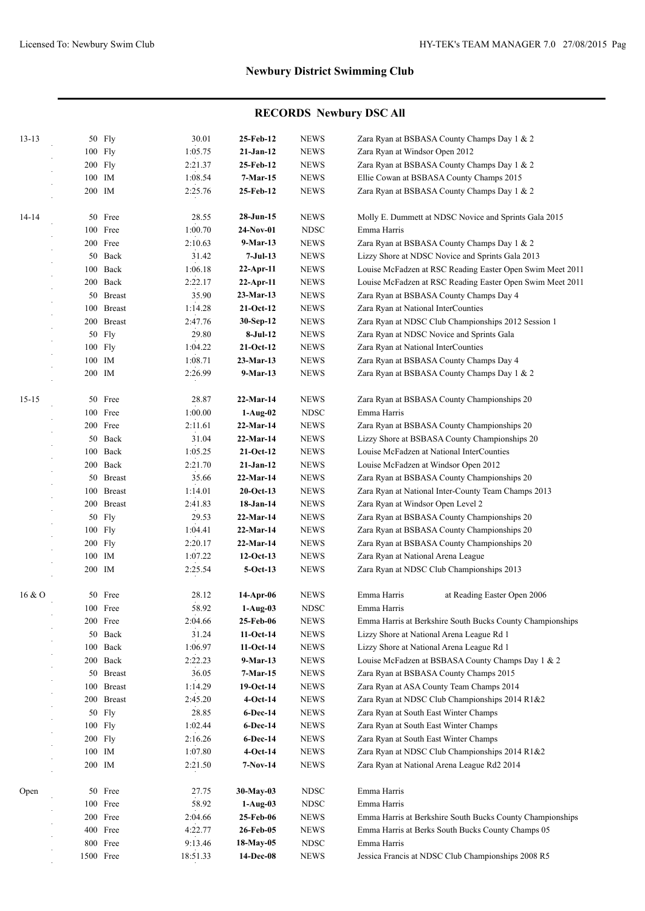| $13 - 13$ |     | 50 Fly     | 30.01    | 25-Feb-12    | <b>NEWS</b>           | Zara Ryan at BSBASA County Champs Day 1 & 2               |
|-----------|-----|------------|----------|--------------|-----------------------|-----------------------------------------------------------|
|           |     | 100 Fly    | 1:05.75  | $21-Jan-12$  | <b>NEWS</b>           | Zara Ryan at Windsor Open 2012                            |
|           |     | 200 Fly    | 2:21.37  | 25-Feb-12    | <b>NEWS</b>           | Zara Ryan at BSBASA County Champs Day 1 & 2               |
|           |     | 100 IM     | 1:08.54  | $7-Mar-15$   | <b>NEWS</b>           | Ellie Cowan at BSBASA County Champs 2015                  |
|           |     | 200 IM     | 2:25.76  | 25-Feb-12    | <b>NEWS</b>           | Zara Ryan at BSBASA County Champs Day 1 & 2               |
| $14 - 14$ |     | 50 Free    | 28.55    | 28-Jun-15    | <b>NEWS</b>           | Molly E. Dummett at NDSC Novice and Sprints Gala 2015     |
|           |     | 100 Free   | 1:00.70  | $24-Nov-01$  | <b>NDSC</b>           | Emma Harris                                               |
|           |     | 200 Free   | 2:10.63  | $9-Mar-13$   | <b>NEWS</b>           | Zara Ryan at BSBASA County Champs Day 1 & 2               |
|           |     | 50 Back    | 31.42    | $7-Jul-13$   | <b>NEWS</b>           | Lizzy Shore at NDSC Novice and Sprints Gala 2013          |
|           |     | 100 Back   | 1:06.18  | 22-Apr-11    | <b>NEWS</b>           | Louise McFadzen at RSC Reading Easter Open Swim Meet 2011 |
|           |     | 200 Back   | 2:22.17  | 22-Apr-11    | <b>NEWS</b>           | Louise McFadzen at RSC Reading Easter Open Swim Meet 2011 |
|           |     | 50 Breast  | 35.90    | 23-Mar-13    | <b>NEWS</b>           | Zara Ryan at BSBASA County Champs Day 4                   |
|           |     | 100 Breast | 1:14.28  | $21-Oct-12$  | <b>NEWS</b>           | Zara Ryan at National InterCounties                       |
|           |     | 200 Breast | 2:47.76  | 30-Sep-12    | <b>NEWS</b>           | Zara Ryan at NDSC Club Championships 2012 Session 1       |
|           |     | 50 Fly     | 29.80    | $8-Jul-12$   | <b>NEWS</b>           | Zara Ryan at NDSC Novice and Sprints Gala                 |
|           |     | 100 Fly    | 1:04.22  | $21-Oct-12$  | <b>NEWS</b>           | Zara Ryan at National InterCounties                       |
|           |     | 100 IM     | 1:08.71  | 23-Mar-13    | <b>NEWS</b>           | Zara Ryan at BSBASA County Champs Day 4                   |
|           |     | 200 IM     | 2:26.99  | $9-Mar-13$   | <b>NEWS</b>           | Zara Ryan at BSBASA County Champs Day 1 & 2               |
| $15 - 15$ |     | 50 Free    | 28.87    | 22-Mar-14    | <b>NEWS</b>           | Zara Ryan at BSBASA County Championships 20               |
|           |     | 100 Free   | 1:00.00  | $1-Aug-02$   | <b>NDSC</b>           | Emma Harris                                               |
|           |     | 200 Free   | 2:11.61  | 22-Mar-14    | <b>NEWS</b>           | Zara Ryan at BSBASA County Championships 20               |
|           |     | 50 Back    | 31.04    | 22-Mar-14    | <b>NEWS</b>           | Lizzy Shore at BSBASA County Championships 20             |
|           |     | 100 Back   | 1:05.25  | $21-Oct-12$  | <b>NEWS</b>           | Louise McFadzen at National InterCounties                 |
|           |     | 200 Back   | 2:21.70  | $21-Jan-12$  | <b>NEWS</b>           | Louise McFadzen at Windsor Open 2012                      |
|           |     | 50 Breast  | 35.66    | 22-Mar-14    | <b>NEWS</b>           | Zara Ryan at BSBASA County Championships 20               |
|           |     | 100 Breast | 1:14.01  | $20$ -Oct-13 | <b>NEWS</b>           | Zara Ryan at National Inter-County Team Champs 2013       |
|           |     | 200 Breast | 2:41.83  | 18-Jan-14    | <b>NEWS</b>           | Zara Ryan at Windsor Open Level 2                         |
|           |     | 50 Fly     | 29.53    | 22-Mar-14    | <b>NEWS</b>           | Zara Ryan at BSBASA County Championships 20               |
|           |     | 100 Fly    | 1:04.41  | 22-Mar-14    | <b>NEWS</b>           | Zara Ryan at BSBASA County Championships 20               |
|           |     | 200 Fly    | 2:20.17  | 22-Mar-14    | <b>NEWS</b>           | Zara Ryan at BSBASA County Championships 20               |
|           |     | 100 IM     | 1:07.22  | $12-Oct-13$  | <b>NEWS</b>           | Zara Ryan at National Arena League                        |
|           |     | 200 IM     | 2:25.54  | $5-Oct-13$   | <b>NEWS</b>           | Zara Ryan at NDSC Club Championships 2013                 |
| 16 & 0    | 50  | Free       | 28.12    | 14-Apr-06    | <b>NEWS</b>           | Emma Harris<br>at Reading Easter Open 2006                |
|           |     | 100 Free   | 58.92    | $1-Aug-03$   | <b>NDSC</b>           | Emma Harris                                               |
|           |     | 200 Free   | 2:04.66  | 25-Feb-06    | <b>NEWS</b>           | Emma Harris at Berkshire South Bucks County Championships |
|           |     | 50 Back    | 31.24    | $11-Oct-14$  | <b>NEWS</b>           | Lizzy Shore at National Arena League Rd 1                 |
|           | 100 | Back       | 1:06.97  | $11-Oct-14$  | <b>NEWS</b>           | Lizzy Shore at National Arena League Rd 1                 |
|           |     | 200 Back   | 2:22.23  | $9-Mar-13$   | <b>NEWS</b>           | Louise McFadzen at BSBASA County Champs Day 1 & 2         |
|           |     | 50 Breast  | 36.05    | $7-Mar-15$   | <b>NEWS</b>           | Zara Ryan at BSBASA County Champs 2015                    |
|           |     | 100 Breast | 1:14.29  | $19-Oct-14$  | <b>NEWS</b>           | Zara Ryan at ASA County Team Champs 2014                  |
|           |     | 200 Breast | 2:45.20  | $4-Oct-14$   | <b>NEWS</b>           | Zara Ryan at NDSC Club Championships 2014 R1&2            |
|           |     | 50 Fly     | 28.85    | 6-Dec-14     | <b>NEWS</b>           | Zara Ryan at South East Winter Champs                     |
|           |     | 100 Fly    | 1:02.44  | $6$ -Dec-14  | <b>NEWS</b>           | Zara Ryan at South East Winter Champs                     |
|           |     | 200 Fly    | 2:16.26  | 6-Dec-14     | <b>NEWS</b>           | Zara Ryan at South East Winter Champs                     |
|           |     | 100 IM     | 1:07.80  | $4-Oct-14$   | <b>NEWS</b>           | Zara Ryan at NDSC Club Championships 2014 R1&2            |
|           |     | 200 IM     | 2:21.50  | 7-Nov-14     | <b>NEWS</b>           | Zara Ryan at National Arena League Rd2 2014               |
| Open      |     | 50 Free    | 27.75    | 30-May-03    | <b>NDSC</b>           | Emma Harris                                               |
|           |     | 100 Free   | 58.92    | $1-Aug-03$   | <b>NDSC</b>           | Emma Harris                                               |
|           |     | 200 Free   | 2:04.66  | 25-Feb-06    | <b>NEWS</b>           | Emma Harris at Berkshire South Bucks County Championships |
|           |     | 400 Free   | 4:22.77  | 26-Feb-05    | <b>NEWS</b>           | Emma Harris at Berks South Bucks County Champs 05         |
|           |     | 800 Free   | 9:13.46  | 18-May-05    | $\operatorname{NDSC}$ | Emma Harris                                               |
|           |     | 1500 Free  | 18:51.33 | 14-Dec-08    | <b>NEWS</b>           | Jessica Francis at NDSC Club Championships 2008 R5        |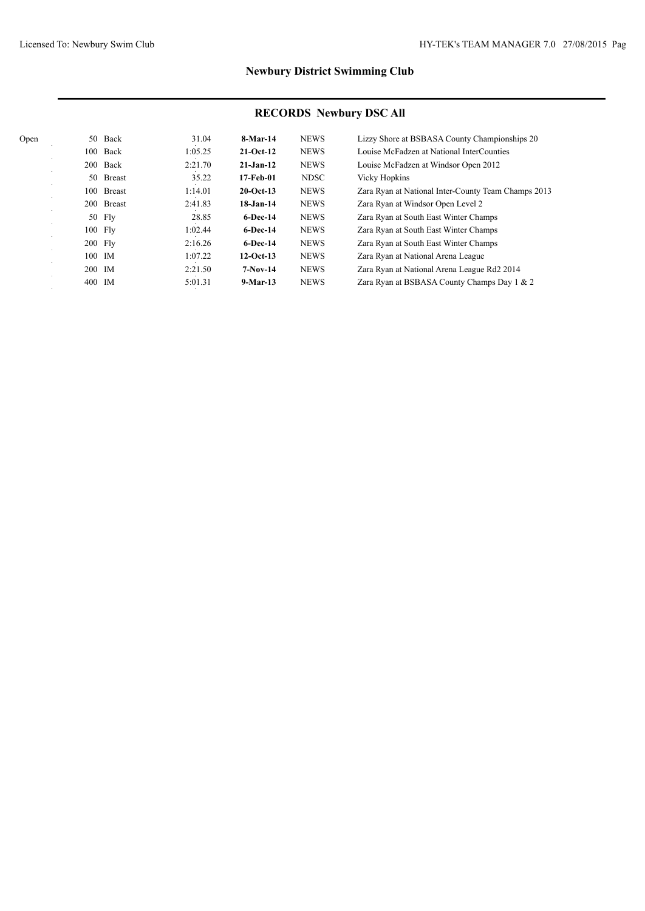| 31.04   |                                                                                      |                                                                                                                                   | Lizzy Shore at BSBASA County Championships 20                                                                                                                     |
|---------|--------------------------------------------------------------------------------------|-----------------------------------------------------------------------------------------------------------------------------------|-------------------------------------------------------------------------------------------------------------------------------------------------------------------|
|         |                                                                                      |                                                                                                                                   | Louise McFadzen at National InterCounties                                                                                                                         |
|         |                                                                                      |                                                                                                                                   | Louise McFadzen at Windsor Open 2012                                                                                                                              |
| 35.22   |                                                                                      | <b>NDSC</b>                                                                                                                       | <b>Vicky Hopkins</b>                                                                                                                                              |
|         |                                                                                      |                                                                                                                                   | Zara Ryan at National Inter-County Team Champs 2013                                                                                                               |
|         |                                                                                      |                                                                                                                                   | Zara Ryan at Windsor Open Level 2                                                                                                                                 |
| 28.85   | $6$ -Dec-14                                                                          |                                                                                                                                   | Zara Ryan at South East Winter Champs                                                                                                                             |
| 1:02.44 | $6$ -Dec-14                                                                          |                                                                                                                                   | Zara Ryan at South East Winter Champs                                                                                                                             |
|         | $6$ -Dec-14                                                                          |                                                                                                                                   | Zara Ryan at South East Winter Champs                                                                                                                             |
|         |                                                                                      |                                                                                                                                   | Zara Ryan at National Arena League                                                                                                                                |
|         |                                                                                      |                                                                                                                                   | Zara Ryan at National Arena League Rd2 2014                                                                                                                       |
|         |                                                                                      |                                                                                                                                   | Zara Ryan at BSBASA County Champs Day 1 & 2                                                                                                                       |
|         | 1:05.25<br>2:21.70<br>1:14.01<br>2:41.83<br>2:16.26<br>1:07.22<br>2:21.50<br>5:01.31 | $8-Mar-14$<br>$21-Oct-12$<br>$21-Jan-12$<br>17-Feb-01<br>$20$ -Oct-13<br>$18 - Jan-14$<br>$12-Oct-13$<br>$7-Nov-14$<br>$9-Mar-13$ | <b>NEWS</b><br><b>NEWS</b><br><b>NEWS</b><br><b>NEWS</b><br><b>NEWS</b><br><b>NEWS</b><br><b>NEWS</b><br><b>NEWS</b><br><b>NEWS</b><br><b>NEWS</b><br><b>NEWS</b> |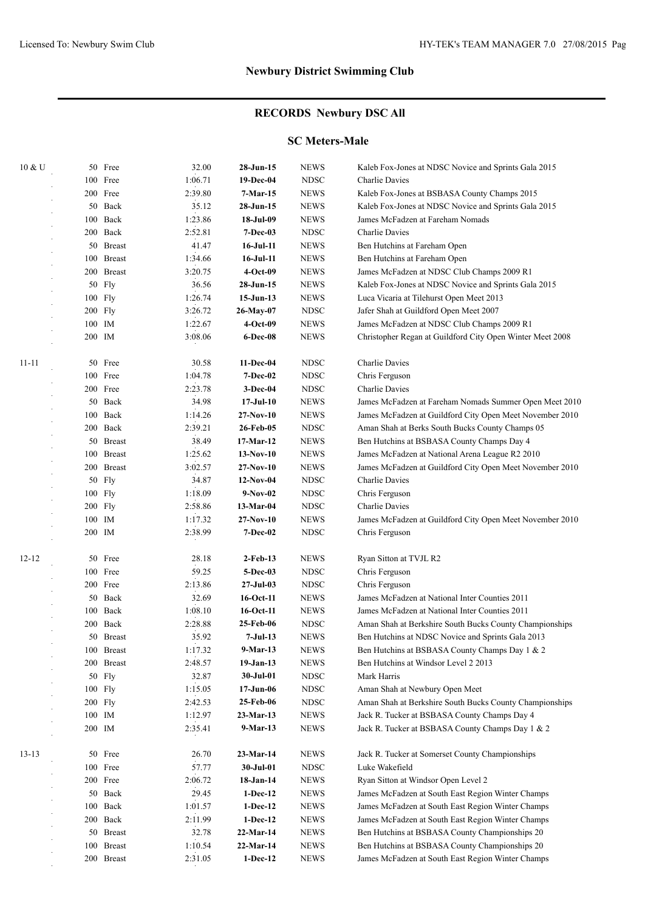# **RECORDS Newbury DSC All**

### **SC Meters-Male**

| 10 & U    |        | 50 Free       | 32.00   | 28-Jun-15       | <b>NEWS</b> | Kaleb Fox-Jones at NDSC Novice and Sprints Gala 2015      |
|-----------|--------|---------------|---------|-----------------|-------------|-----------------------------------------------------------|
|           |        | 100 Free      | 1:06.71 | 19-Dec-04       | <b>NDSC</b> | <b>Charlie Davies</b>                                     |
|           |        | 200 Free      | 2:39.80 | 7-Mar-15        | <b>NEWS</b> | Kaleb Fox-Jones at BSBASA County Champs 2015              |
|           |        | 50 Back       | 35.12   | 28-Jun-15       | <b>NEWS</b> | Kaleb Fox-Jones at NDSC Novice and Sprints Gala 2015      |
|           |        | 100 Back      | 1:23.86 | 18-Jul-09       | <b>NEWS</b> | James McFadzen at Fareham Nomads                          |
|           |        | 200 Back      | 2:52.81 | $7 - Dec-03$    | <b>NDSC</b> | Charlie Davies                                            |
|           |        | 50 Breast     | 41.47   | $16$ -Jul- $11$ | <b>NEWS</b> | Ben Hutchins at Fareham Open                              |
|           |        | 100 Breast    | 1:34.66 | $16$ -Jul- $11$ | <b>NEWS</b> | Ben Hutchins at Fareham Open                              |
|           |        | 200 Breast    | 3:20.75 | 4-Oct-09        | <b>NEWS</b> | James McFadzen at NDSC Club Champs 2009 R1                |
|           |        | 50 Fly        | 36.56   | $28$ -Jun-15    | <b>NEWS</b> | Kaleb Fox-Jones at NDSC Novice and Sprints Gala 2015      |
|           |        | 100 Fly       | 1:26.74 | $15-Jun-13$     | <b>NEWS</b> | Luca Vicaria at Tilehurst Open Meet 2013                  |
|           |        | 200 Fly       | 3:26.72 | 26-May-07       | <b>NDSC</b> | Jafer Shah at Guildford Open Meet 2007                    |
|           |        | 100 IM        | 1:22.67 | $4-Oct-09$      | <b>NEWS</b> | James McFadzen at NDSC Club Champs 2009 R1                |
|           | 200 IM |               | 3:08.06 | 6-Dec-08        | <b>NEWS</b> | Christopher Regan at Guildford City Open Winter Meet 2008 |
| $11 - 11$ |        | 50 Free       | 30.58   | 11-Dec-04       | <b>NDSC</b> | Charlie Davies                                            |
|           |        | 100 Free      | 1:04.78 | <b>7-Dec-02</b> | <b>NDSC</b> | Chris Ferguson                                            |
|           |        | 200 Free      | 2:23.78 | <b>3-Dec-04</b> | <b>NDSC</b> | Charlie Davies                                            |
|           |        | 50 Back       | 34.98   | $17-JuI-10$     | <b>NEWS</b> | James McFadzen at Fareham Nomads Summer Open Meet 2010    |
|           |        | 100 Back      | 1:14.26 | 27-Nov-10       | <b>NEWS</b> | James McFadzen at Guildford City Open Meet November 2010  |
|           |        | 200 Back      | 2:39.21 | 26-Feb-05       | <b>NDSC</b> | Aman Shah at Berks South Bucks County Champs 05           |
|           |        | 50 Breast     | 38.49   | 17-Mar-12       | <b>NEWS</b> | Ben Hutchins at BSBASA County Champs Day 4                |
|           |        | 100 Breast    | 1:25.62 | $13-Nov-10$     | <b>NEWS</b> | James McFadzen at National Arena League R2 2010           |
|           |        | 200 Breast    | 3:02.57 | 27-Nov-10       | <b>NEWS</b> | James McFadzen at Guildford City Open Meet November 2010  |
|           |        | 50 Fly        | 34.87   | $12-Nov-04$     | <b>NDSC</b> | Charlie Davies                                            |
|           |        | 100 Fly       | 1:18.09 | $9-Nov-02$      | <b>NDSC</b> | Chris Ferguson                                            |
|           |        | 200 Fly       | 2:58.86 | $13-Mar-04$     | <b>NDSC</b> | Charlie Davies                                            |
|           |        | 100 IM        | 1:17.32 | 27-Nov-10       | <b>NEWS</b> | James McFadzen at Guildford City Open Meet November 2010  |
|           | 200 IM |               | 2:38.99 | <b>7-Dec-02</b> | <b>NDSC</b> | Chris Ferguson                                            |
| $12 - 12$ |        | 50 Free       | 28.18   | $2$ -Feb-13     | <b>NEWS</b> | Ryan Sitton at TVJL R2                                    |
|           |        | 100 Free      | 59.25   | 5-Dec-03        | <b>NDSC</b> | Chris Ferguson                                            |
|           |        | 200 Free      | 2:13.86 | 27-Jul-03       | <b>NDSC</b> | Chris Ferguson                                            |
|           |        | 50 Back       | 32.69   | 16-Oct-11       | <b>NEWS</b> | James McFadzen at National Inter Counties 2011            |
|           |        | 100 Back      | 1:08.10 | 16-Oct-11       | <b>NEWS</b> | James McFadzen at National Inter Counties 2011            |
|           | 200    | Back          | 2:28.88 | 25-Feb-06       | <b>NDSC</b> | Aman Shah at Berkshire South Bucks County Championships   |
|           |        | 50 Breast     | 35.92   | 7-Jul-13        | <b>NEWS</b> | Ben Hutchins at NDSC Novice and Sprints Gala 2013         |
|           |        | 100 Breast    | 1:17.32 | 9-Mar-13        | <b>NEWS</b> | Ben Hutchins at BSBASA County Champs Day 1 & 2            |
|           |        | 200 Breast    | 2:48.57 | 19-Jan-13       | <b>NEWS</b> | Ben Hutchins at Windsor Level 2 2013                      |
|           |        | 50 Fly        | 32.87   | 30-Jul-01       | <b>NDSC</b> | Mark Harris                                               |
|           |        | 100 Fly       | 1:15.05 | 17-Jun-06       | <b>NDSC</b> | Aman Shah at Newbury Open Meet                            |
|           |        | 200 Fly       | 2:42.53 | 25-Feb-06       | <b>NDSC</b> | Aman Shah at Berkshire South Bucks County Championships   |
|           |        | 100 IM        | 1:12.97 | $23-Mar-13$     | <b>NEWS</b> | Jack R. Tucker at BSBASA County Champs Day 4              |
|           |        | 200 IM        | 2:35.41 | 9-Mar-13        | <b>NEWS</b> | Jack R. Tucker at BSBASA County Champs Day 1 & 2          |
| $13 - 13$ |        | 50 Free       | 26.70   | $23-Mar-14$     | <b>NEWS</b> | Jack R. Tucker at Somerset County Championships           |
|           |        | 100 Free      | 57.77   | 30-Jul-01       | <b>NDSC</b> | Luke Wakefield                                            |
|           |        | 200 Free      | 2:06.72 | 18-Jan-14       | <b>NEWS</b> | Ryan Sitton at Windsor Open Level 2                       |
|           |        | 50 Back       | 29.45   | $1-Dec-12$      | <b>NEWS</b> | James McFadzen at South East Region Winter Champs         |
|           |        | 100 Back      | 1:01.57 | $1-Dec-12$      | <b>NEWS</b> | James McFadzen at South East Region Winter Champs         |
|           |        | 200 Back      | 2:11.99 | $1-Dec-12$      | <b>NEWS</b> | James McFadzen at South East Region Winter Champs         |
|           |        | 50 Breast     | 32.78   | $22-Mar-14$     | <b>NEWS</b> | Ben Hutchins at BSBASA County Championships 20            |
|           | 100    | <b>Breast</b> | 1:10.54 | 22-Mar-14       | <b>NEWS</b> | Ben Hutchins at BSBASA County Championships 20            |
|           |        | 200 Breast    | 2:31.05 | $1-Dec-12$      | <b>NEWS</b> | James McFadzen at South East Region Winter Champs         |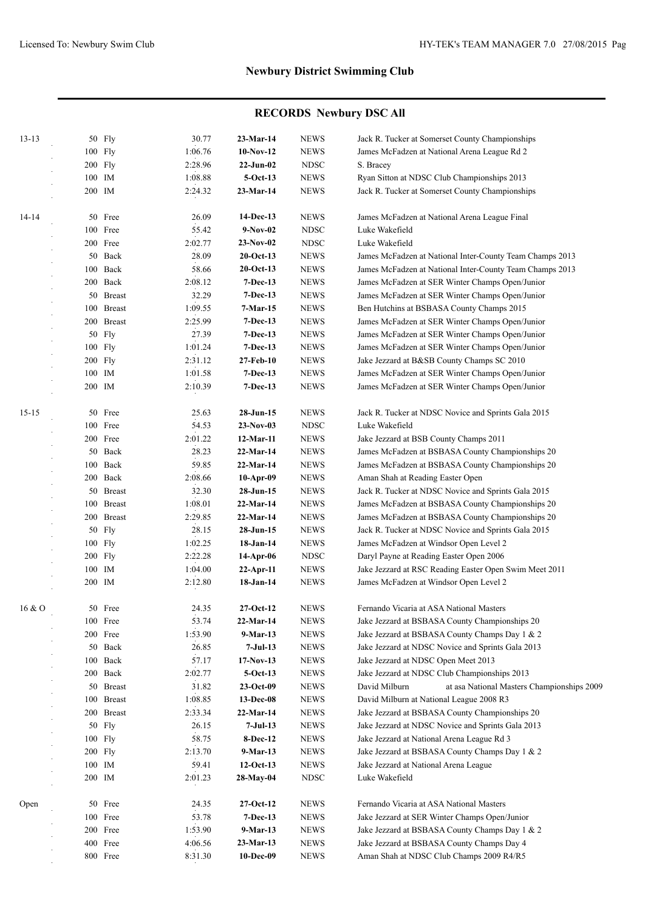| $13 - 13$ |           | 50 Fly     | 30.77   | 23-Mar-14    | <b>NEWS</b> | Jack R. Tucker at Somerset County Championships             |
|-----------|-----------|------------|---------|--------------|-------------|-------------------------------------------------------------|
|           |           | 100 Fly    | 1:06.76 | $10-Nov-12$  | <b>NEWS</b> | James McFadzen at National Arena League Rd 2                |
|           | $200$ Fly |            | 2:28.96 | $22$ -Jun-02 | <b>NDSC</b> | S. Bracey                                                   |
|           | 100 IM    |            | 1:08.88 | $5-Oct-13$   | <b>NEWS</b> | Ryan Sitton at NDSC Club Championships 2013                 |
|           | 200 IM    |            | 2:24.32 | 23-Mar-14    | <b>NEWS</b> | Jack R. Tucker at Somerset County Championships             |
| 14-14     |           | 50 Free    | 26.09   | 14-Dec-13    | <b>NEWS</b> | James McFadzen at National Arena League Final               |
|           |           | 100 Free   | 55.42   | $9-Nov-02$   | <b>NDSC</b> | Luke Wakefield                                              |
|           |           | 200 Free   | 2:02.77 | 23-Nov-02    | <b>NDSC</b> | Luke Wakefield                                              |
|           |           | 50 Back    | 28.09   | $20$ -Oct-13 | <b>NEWS</b> | James McFadzen at National Inter-County Team Champs 2013    |
|           |           | 100 Back   | 58.66   | $20$ -Oct-13 | <b>NEWS</b> | James McFadzen at National Inter-County Team Champs 2013    |
|           |           | 200 Back   | 2:08.12 | $7-Dec-13$   | <b>NEWS</b> | James McFadzen at SER Winter Champs Open/Junior             |
|           |           | 50 Breast  | 32.29   | $7-Dec-13$   | <b>NEWS</b> | James McFadzen at SER Winter Champs Open/Junior             |
|           |           | 100 Breast | 1:09.55 | 7-Mar-15     | <b>NEWS</b> | Ben Hutchins at BSBASA County Champs 2015                   |
|           |           | 200 Breast | 2:25.99 | $7-Dec-13$   | <b>NEWS</b> | James McFadzen at SER Winter Champs Open/Junior             |
|           |           | 50 Fly     | 27.39   | $7-Dec-13$   | <b>NEWS</b> | James McFadzen at SER Winter Champs Open/Junior             |
|           |           | 100 Fly    | 1:01.24 | $7-Dec-13$   | <b>NEWS</b> | James McFadzen at SER Winter Champs Open/Junior             |
|           | 200 Fly   |            | 2:31.12 | 27-Feb-10    | <b>NEWS</b> | Jake Jezzard at B&SB County Champs SC 2010                  |
|           | 100 IM    |            | 1:01.58 | $7-Dec-13$   | <b>NEWS</b> | James McFadzen at SER Winter Champs Open/Junior             |
|           | 200 IM    |            | 2:10.39 | $7-Dec-13$   | <b>NEWS</b> | James McFadzen at SER Winter Champs Open/Junior             |
| $15 - 15$ |           | 50 Free    | 25.63   | $28-Jun-15$  | <b>NEWS</b> | Jack R. Tucker at NDSC Novice and Sprints Gala 2015         |
|           |           | 100 Free   | 54.53   | $23-Nov-03$  | <b>NDSC</b> | Luke Wakefield                                              |
|           |           | 200 Free   | 2:01.22 | 12-Mar-11    | <b>NEWS</b> | Jake Jezzard at BSB County Champs 2011                      |
|           |           | 50 Back    | 28.23   | 22-Mar-14    | <b>NEWS</b> | James McFadzen at BSBASA County Championships 20            |
|           |           | 100 Back   | 59.85   | 22-Mar-14    | <b>NEWS</b> | James McFadzen at BSBASA County Championships 20            |
|           |           | 200 Back   | 2:08.66 | $10-Apr-09$  | <b>NEWS</b> | Aman Shah at Reading Easter Open                            |
|           |           | 50 Breast  | 32.30   | 28-Jun-15    | <b>NEWS</b> | Jack R. Tucker at NDSC Novice and Sprints Gala 2015         |
|           |           | 100 Breast | 1:08.01 | 22-Mar-14    | <b>NEWS</b> | James McFadzen at BSBASA County Championships 20            |
|           |           | 200 Breast | 2:29.85 | 22-Mar-14    | <b>NEWS</b> | James McFadzen at BSBASA County Championships 20            |
|           |           | 50 Fly     | 28.15   | 28-Jun-15    | <b>NEWS</b> | Jack R. Tucker at NDSC Novice and Sprints Gala 2015         |
|           |           | 100 Fly    | 1:02.25 | 18-Jan-14    | <b>NEWS</b> | James McFadzen at Windsor Open Level 2                      |
|           |           | 200 Fly    | 2:22.28 | 14-Apr-06    | <b>NDSC</b> | Daryl Payne at Reading Easter Open 2006                     |
|           | 100 IM    |            | 1:04.00 | $22-Apr-11$  | <b>NEWS</b> | Jake Jezzard at RSC Reading Easter Open Swim Meet 2011      |
|           | 200 IM    |            | 2:12.80 | 18-Jan-14    | <b>NEWS</b> | James McFadzen at Windsor Open Level 2                      |
| 16 & O    |           | 50 Free    | 24.35   | $27-Oct-12$  | <b>NEWS</b> | Fernando Vicaria at ASA National Masters                    |
|           |           | 100 Free   | 53.74   | 22-Mar-14    | <b>NEWS</b> | Jake Jezzard at BSBASA County Championships 20              |
|           |           | 200 Free   | 1:53.90 | 9-Mar-13     | <b>NEWS</b> | Jake Jezzard at BSBASA County Champs Day 1 & 2              |
|           |           | 50 Back    | 26.85   | 7-Jul-13     | <b>NEWS</b> | Jake Jezzard at NDSC Novice and Sprints Gala 2013           |
|           |           | 100 Back   | 57.17   | $17-Nov-13$  | <b>NEWS</b> | Jake Jezzard at NDSC Open Meet 2013                         |
|           |           | 200 Back   | 2:02.77 | $5-Oct-13$   | <b>NEWS</b> | Jake Jezzard at NDSC Club Championships 2013                |
|           |           | 50 Breast  | 31.82   | $23-Oct-09$  | <b>NEWS</b> | David Milburn<br>at asa National Masters Championships 2009 |
|           |           | 100 Breast | 1:08.85 | 13-Dec-08    | <b>NEWS</b> | David Milburn at National League 2008 R3                    |
|           |           | 200 Breast | 2:33.34 | 22-Mar-14    | <b>NEWS</b> | Jake Jezzard at BSBASA County Championships 20              |
|           |           | 50 Fly     | 26.15   | 7-Jul-13     | <b>NEWS</b> | Jake Jezzard at NDSC Novice and Sprints Gala 2013           |
|           |           | 100 Fly    | 58.75   | 8-Dec-12     | <b>NEWS</b> | Jake Jezzard at National Arena League Rd 3                  |
|           |           | 200 Fly    | 2:13.70 | 9-Mar-13     | <b>NEWS</b> | Jake Jezzard at BSBASA County Champs Day 1 & 2              |
|           |           | 100 IM     | 59.41   | $12-Oct-13$  | <b>NEWS</b> | Jake Jezzard at National Arena League                       |
|           | 200 IM    |            | 2:01.23 | 28-May-04    | <b>NDSC</b> | Luke Wakefield                                              |
| Open      |           | 50 Free    | 24.35   | 27-Oct-12    | <b>NEWS</b> | Fernando Vicaria at ASA National Masters                    |
|           |           | 100 Free   | 53.78   | 7-Dec-13     | <b>NEWS</b> | Jake Jezzard at SER Winter Champs Open/Junior               |
|           |           | 200 Free   | 1:53.90 | 9-Mar-13     | <b>NEWS</b> | Jake Jezzard at BSBASA County Champs Day 1 & 2              |
|           |           | 400 Free   | 4:06.56 | 23-Mar-13    | <b>NEWS</b> | Jake Jezzard at BSBASA County Champs Day 4                  |
|           |           | 800 Free   | 8:31.30 | 10-Dec-09    | <b>NEWS</b> | Aman Shah at NDSC Club Champs 2009 R4/R5                    |